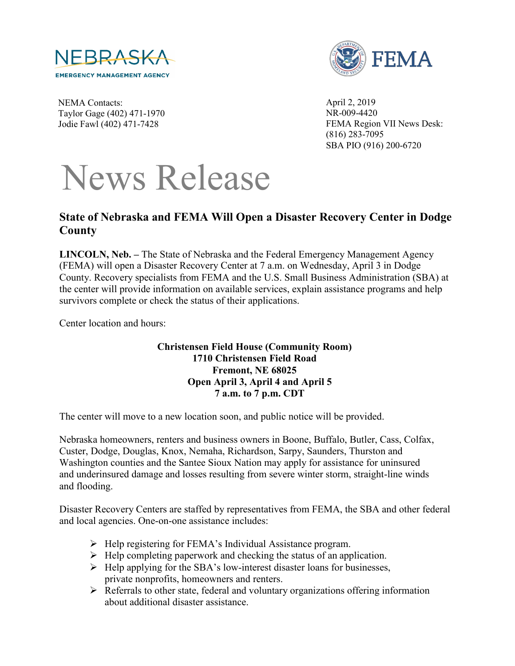



NEMA Contacts: Taylor Gage (402) 471-1970 Jodie Fawl (402) 471-7428

April 2, 2019 NR-009-4420 FEMA Region VII News Desk: (816) 283-7095 SBA PIO (916) 200-6720

## News Release

## **State of Nebraska and FEMA Will Open a Disaster Recovery Center in Dodge County**

**LINCOLN, Neb. –** The State of Nebraska and the Federal Emergency Management Agency (FEMA) will open a Disaster Recovery Center at 7 a.m. on Wednesday, April 3 in Dodge County. Recovery specialists from FEMA and the U.S. Small Business Administration (SBA) at the center will provide information on available services, explain assistance programs and help survivors complete or check the status of their applications.

Center location and hours:

## **Christensen Field House (Community Room) 1710 Christensen Field Road Fremont, NE 68025 Open April 3, April 4 and April 5 7 a.m. to 7 p.m. CDT**

The center will move to a new location soon, and public notice will be provided.

Nebraska homeowners, renters and business owners in Boone, Buffalo, Butler, Cass, Colfax, Custer, Dodge, Douglas, Knox, Nemaha, Richardson, Sarpy, Saunders, Thurston and Washington counties and the Santee Sioux Nation may apply for assistance for uninsured and underinsured damage and losses resulting from severe winter storm, straight-line winds and flooding.

Disaster Recovery Centers are staffed by representatives from FEMA, the SBA and other federal and local agencies. One-on-one assistance includes:

- $\triangleright$  Help registering for FEMA's Individual Assistance program.
- $\triangleright$  Help completing paperwork and checking the status of an application.
- $\triangleright$  Help applying for the SBA's low-interest disaster loans for businesses, private nonprofits, homeowners and renters.
- $\triangleright$  Referrals to other state, federal and voluntary organizations offering information about additional disaster assistance.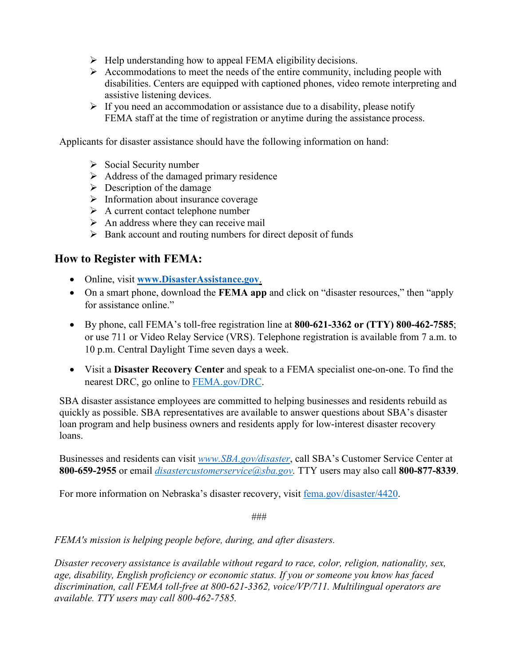- $\triangleright$  Help understanding how to appeal FEMA eligibility decisions.
- $\triangleright$  Accommodations to meet the needs of the entire community, including people with disabilities. Centers are equipped with captioned phones, video remote interpreting and assistive listening devices.
- $\triangleright$  If you need an accommodation or assistance due to a disability, please notify FEMA staff at the time of registration or anytime during the assistance process.

Applicants for disaster assistance should have the following information on hand:

- $\triangleright$  Social Security number
- $\triangleright$  Address of the damaged primary residence
- $\triangleright$  Description of the damage
- $\triangleright$  Information about insurance coverage
- $\triangleright$  A current contact telephone number
- $\triangleright$  An address where they can receive mail
- $\triangleright$  Bank account and routing numbers for direct deposit of funds

## **How to Register with FEMA:**

- Online, visit **[www.DisasterAssistance.gov](http://www.disasterassistance.gov/)**.
- On a smart phone, download the **FEMA app** and click on "disaster resources," then "apply for assistance online."
- By phone, call FEMA's toll-free registration line at **800-621-3362 or (TTY) 800-462-7585**; or use 711 or Video Relay Service (VRS). Telephone registration is available from 7 a.m. to 10 p.m. Central Daylight Time seven days a week.
- Visit a **Disaster Recovery Center** and speak to a FEMA specialist one-on-one. To find the nearest DRC, go online to [FEMA.gov/DRC.](https://www.fema.gov/disaster-recovery-centers)

SBA disaster assistance employees are committed to helping businesses and residents rebuild as quickly as possible. SBA representatives are available to answer questions about SBA's disaster loan program and help business owners and residents apply for low-interest disaster recovery loans.

Businesses and residents can visit *[www.SBA.gov/disaster](http://www.sba.gov/disaster)*, call SBA's Customer Service Center at **800-659-2955** or email *[disastercustomerservice@sba.gov.](mailto:disastercustomerservice@sba.gov)* TTY users may also call **800-877-8339**.

For more information on Nebraska's disaster recovery, visit [fema.gov/disaster/4420.](https://www.fema.gov/disaster/4420)

###

*FEMA's mission is helping people before, during, and after disasters.*

*Disaster recovery assistance is available without regard to race, color, religion, nationality, sex, age, disability, English proficiency or economic status. If you or someone you know has faced discrimination, call FEMA toll-free at 800-621-3362, voice/VP/711. Multilingual operators are available. TTY users may call 800-462-7585.*